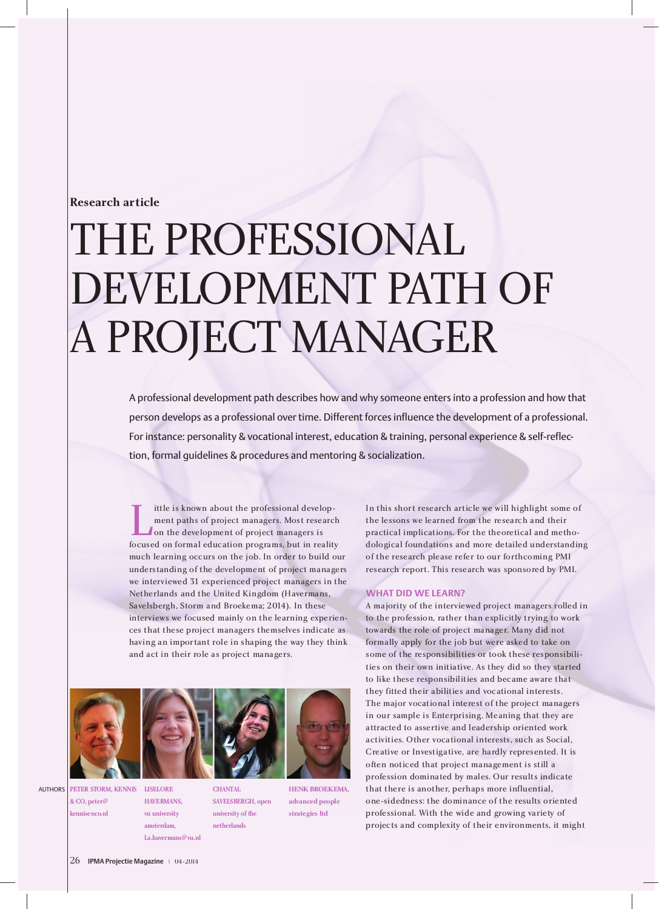# **Research article**

# THE PROFESSIONAL<br>DEVELOPMENT PATH OF DEVELOPMENT FAITH OF A PROJECT MANAGER

A professional development path describes how and why someone enters into a profession and how that person develops as a professional over time. Different forces influence the development of a professional. For instance: personality & vocational interest, education & training, personal experience & self-reflection, formal guidelines & procedures and mentoring & socialization.

The is known about the professional development paths of project managers. Most researc<br>on the development of project managers is<br>focused on formal education programs, but in reality<br>much learning occurs on the job. In ord ment paths of project managers. Most research<br>on the development of project managers is on the development of project managers is much learning occurs on the job. In order to build our understanding of the development of project managers we interviewed 31 experienced project managers in the Netherlands and the United Kingdom (Havermans, Netherlands and the United Kingdom (Havermans, Savelsbergh, Storm and Broekema; 2014). In these interviews we focused mainly on the learning experiences that these project managers themselves indicate as having an important role in shaping the way they think and act in their role as project managers.



**PETER STORM, KENNIS & CO, peter@ kennisenco.nl AUTHORS** 

**LISELORE HAVERMANS, vu university amsterdam,** 

**l.a.havermans@vu.nl**

**CHANTAL SAVELSBERGH, open university of the netherlands**

**HENK BROEKEMA, advanced people strategies ltd**

In this short research article we will highlight some of practical implications. For the theoretical and methodological foundations and more detailed understanding of the research please refer to our forthcoming PMI of the research please refer to our forthcoming PMI research report. This research was sponsored by PMI.

#### **WHAT DID WE LEARN?**

A majority of the interviewed project managers rolled in to the profession, rather than explicitly trying to work towards the role of project manager. Many did not<br>formally apply for the job but were asked to take on some of the responsibilities or took these responsibilities on their own initiative. As they did so they started to like these responsibilities and became aware that they fitted their abilities and vocational interests. The major vocational interest of the project managers. in our sample is Enterprising. Meaning that they are attracted to assertive and leadership oriented work attracted to assertive and leadership oriented work activities. Other vocational interests, such as Social, Creative or Investigative, are hardly represented. It is often noticed that project management is still a profession dominated by males. Our results indicate one-sidedness: the dominance of the results oriented one-sidedness: the dominance of the results oriented professional. With the wide and growing variety of projects and complexity of their environments, it might

26 **IPMA Projectie Magazine** | 04-2014